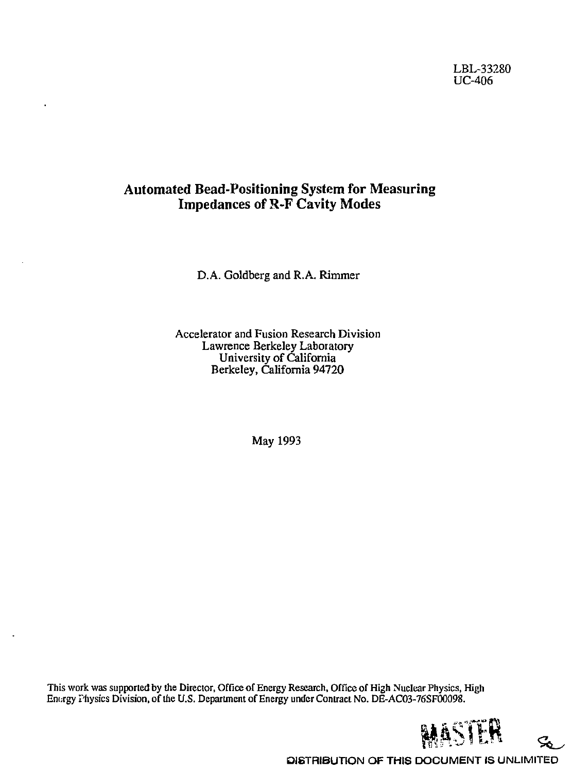## LBL-33280 UC-406

# Automated Bead-Positioning System for Measuring Impedances of R-F Cavity Modes

D.A. Goldberg and R.A. Rimmer

Accelerator and Fusion Research Division Lawrence Berkeley Laboratory University of California Berkeley, California 94720

May 1993

This work was supported by the Director, Office of Energy Research, Office of High Nuclear Physics, High Energy Physics Division, of the U.S. Department of Energy under Contract No. DE-AC03-76SF00098.



ፌ

**DISTRIBUTION OF THIS DOCUMENT IS UNLIMITED**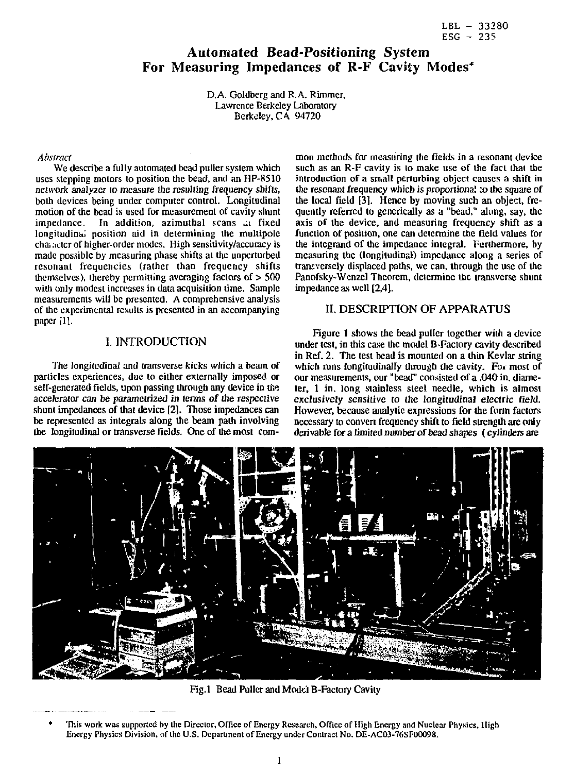# Automated Bead-Positioning System For Measuring Impedances of R-F Cavity Modes\*

D.A. Goldberg and R.A. Rimmer, Lawrence Berkeley Laboratory Berkeley, CA 94720

#### *Abstract*

We describe a fully automated bead puller system which uses stepping motors to position the bead, and an HP-8510 network analyzer to measure the resulting frequency shifts, both devices being under computer control. Longitudinal motion of the bead is used for measurement of cavity shunt impedance. In addition, azimuthal scans ... fixed longitudinal position aid in determining the multipole cha; :ictcr of higher-order modes. High sensitivity/accuracy is made possible by measuring phase shifts at the unperturbed resonant frequencies (rather than frequency shifts themselves), thereby permitting averaging factors of  $> 500$ with only modest increases in data acquisition time. Sample measurements will be presented. A comprehensive analysis of the experimental results is presented in an accompanying paper [1].

## I. INTRODUCTION

The longitudinal and transverse kicks which a beam of particles experiences, due to either externally imposed or self-generated fields, upon passing through any device in the accelerator can be parametrized in terms of the respective shunt impedances of that device [2]. Those impedances can be represented as integrals along the beam path involving the longitudinal or transverse fields. One of the most com-

mon methods for measuring the fields in a resonant device such as an R-F cavity is to make use of the fact that the introduction of a small perturbing object causes a shift in the resonant frequency which is proportional :o the square of the local field [3]. Hence by moving such an object, frequently referred to generically as a "bead," along, say, the axis of the device, and measuring frequency shift as a function of position, one can determine the field values for the integrand of the impedance integral. Furthermore, by measuring the (longitudinal) impedance along a series of transversely displaced paths, we can, through the use of the Panofsky-Wenzel Theorem, determine the transverse shunt impedance as well [2,4].

### II. DESCRIPTION OF APPARATUS

Figure 1 shows the bead puller together with a device under test, in this case the model B-Factory cavity described in Ref. 2. The test bead is mounted on a thin Kevlar string which runs longitudinally through the cavity. For most of our measurements, our "bead" consisted of a .040 in. diameter, 1 in. long stainless steel needle, which is almost exclusively sensitive to the longitudinal electric field. However, because analytic expressions for the form factors necessary to convert frequency shift to field strength are only derivable for a limited number of bead shapes (cylinders are



Fig.1 Bead Puller and Model B-Factory Cavity

This work was supported by the Director, Office of Energy Research, Office of High Energy and Nuclear Physics, High Energy Physics Division, of the U.S. Department of Energy under Contract No. DE-AC03-76SF00098.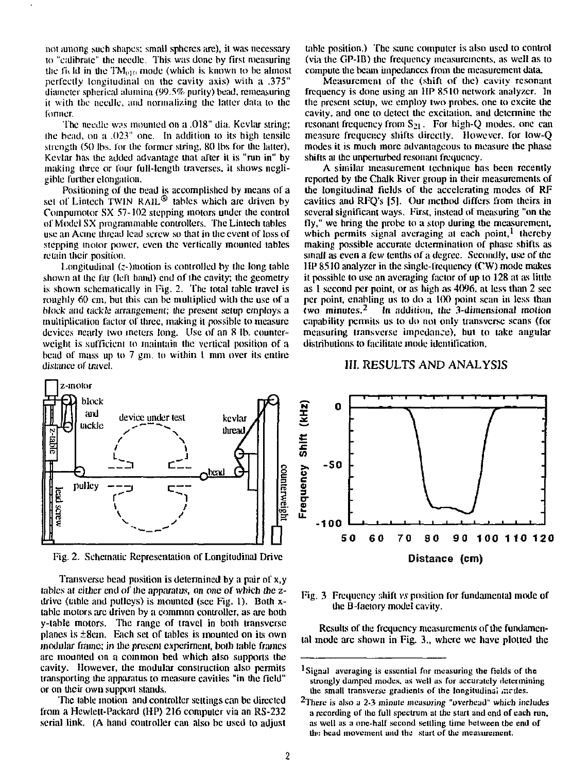not among such shapes; small spheres are), it was necessary to "calibrulc" die needle, This was done by first measuring the field in the  $TM_{010}$  mode (which is known to be almost perfectly longitudinal on the cavity axis) with a .375" diameter spherical alumina (99.5% purity) bead, remeasuring it with the needle, and normalizing the latter data to die former.

The needle was mounted on a .018" dia. Kevlar string; the bead, on a .023" one. In addition to its high tensile strength (50 lbs. for die former string. 80 lbs for the latter), Kevlar has the added advantage that after it is "run in" by making three or four full-length traverses, it shows negligible further elongation.

Positioning of die bead is accomplished by means of a set of Lintech TWIN RAIL<sup>®</sup> tables which are driven by Compumotor SX 57-102 stepping motors under the control of Model SX programmable controllers. The Linlech tables use an Acme thread lead screw so that in die event of loss of stepping motor power, even the vertically mounted tables retain their position.

Longitudinal (z-)motion is controlled by the long table shown at the far (left hand) end of the cavity; the geometry is shown schematically in Pig. 2. The total table travel is roughly 60 cm, but this can be multiplied with the use of a block and tackle arrangement; the present setup employs a multiplication factor of three, making it possible to measure devices nearly iwo meters long. Use of an 8 lb. counterweight is sufficient to maintain the vertical position of a bead of mass up to 7 gm. to within I mm over its entire distance of travel.



Fig. 2. Schematic Representation of Longitudinal Drive

Transverse bead position is determined by a pair of x,y tables at cither end of the apparatus, on one of which the zdrive (table and pulleys) is mounted (see Fig. 1). Both  $x$ table motors are driven by a common controller, as are both y-lable motors. The range of travel in both transverse planes is ±8cm. Each set of tables is mounted on its own modular frame; in the present experiment, both table frames are mounted on a common bed which also supports the cavity. However, the modular construction also permits transporting the apparatus to measure cavities "in the field" or on their own support stands.

The table motion and controller settings can be directed from a Hewlett-Packard (HP) 216 computer via an RS-232 serial link. (A hand controller can also be used to adjust table position.) The same computer is also used to control (via die GP-IB) die frequency measurements, as well as to compute the beam impedances from die measurement data.

Measurement of the (shift of die) cavity resonant frequency is done using an HP 8510 network analyzer. In the present setup, we employ two probes, one to excite the cavity, and one to detect die excitation, and determine the resonant frequency from S<sub>21</sub>. For high-Q modes, one can measure frequency shifts directly. However, for low-Q modes it is much more advantageous to measure the phase shifts at die unperturbed resonant frequency.

A similar measurement technique has been recently reported by the Chalk River group in their measurements of the longitudinal fields of die accelerating modes of RF cavities and RFQ's [5], Our method differs from theirs in several significant ways. First, instead of measuring "on the fly," we bring the probe to a stop during the measurement, which permits signal averaging at each point,<sup>1</sup> thereby making possible accurate determination of phase shifts as small as even a few tenths of a degree. Secondly, use of the 1 IP 8510 analyzer in the single-frequency (CW) mode makes it possible to use an averaging factor of up to 128 at as little as 1 second per point, or as high as 4096. at less than 2 sec per point, enabling us to do a 100 point scan in less than two minutes.<sup>2</sup> In addition, the 3-dimensional motion capability pcnniis us to do nol only transverse scans (for measuring transverse impedance), but to take angular distributions to facilitate mode identification.

#### III. RESULTS AND ANALYSIS



Fig. 3 Frequency shift *vs* position for fundamental mode of die B-factory model cavity.

Results of the frequency measurements of the fundamental mode are shown in Fig. 3., where we have plotted the

<sup>&</sup>lt;sup>1</sup>Signal averaging is essential for measuring the fields of the strongly damped modes, as well as for accurately determining the small transverse gradients of the longitudinal medes.

<sup>&</sup>lt;sup>2</sup>There is also a 2-3 minute measuring "overhead" which includes a recording of the full spectrum at the start and end of each run, as well as a one-half second settling time between the end of the bead movement and the start of the measurement.